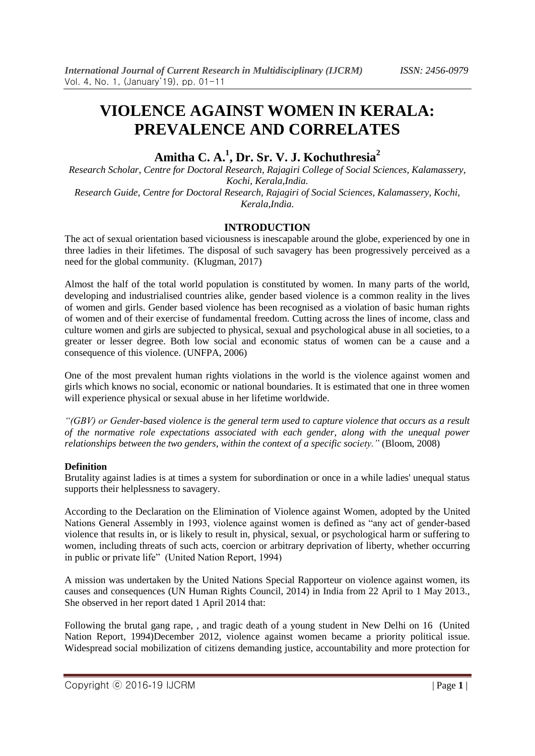# **VIOLENCE AGAINST WOMEN IN KERALA: PREVALENCE AND CORRELATES**

# **Amitha C. A.<sup>1</sup> , Dr. Sr. V. J. Kochuthresia<sup>2</sup>**

*Research Scholar, Centre for Doctoral Research, Rajagiri College of Social Sciences, Kalamassery, Kochi, Kerala,India. Research Guide, Centre for Doctoral Research, Rajagiri of Social Sciences, Kalamassery, Kochi, Kerala,India.*

#### **INTRODUCTION**

The act of sexual orientation based viciousness is inescapable around the globe, experienced by one in three ladies in their lifetimes. The disposal of such savagery has been progressively perceived as a need for the global community. (Klugman, 2017)

Almost the half of the total world population is constituted by women. In many parts of the world, developing and industrialised countries alike, gender based violence is a common reality in the lives of women and girls. Gender based violence has been recognised as a violation of basic human rights of women and of their exercise of fundamental freedom. Cutting across the lines of income, class and culture women and girls are subjected to physical, sexual and psychological abuse in all societies, to a greater or lesser degree. Both low social and economic status of women can be a cause and a consequence of this violence. (UNFPA, 2006)

One of the most prevalent human rights violations in the world is the violence against women and girls which knows no social, economic or national boundaries. It is estimated that one in three women will experience physical or sexual abuse in her lifetime worldwide.

*"(GBV) or Gender-based violence is the general term used to capture violence that occurs as a result of the normative role expectations associated with each gender, along with the unequal power relationships between the two genders, within the context of a specific society."* (Bloom, 2008)

#### **Definition**

Brutality against ladies is at times a system for subordination or once in a while ladies' unequal status supports their helplessness to savagery.

According to the Declaration on the Elimination of Violence against Women, adopted by the United Nations General Assembly in 1993, violence against women is defined as "any act of gender-based violence that results in, or is likely to result in, physical, sexual, or psychological harm or suffering to women, including threats of such acts, coercion or arbitrary deprivation of liberty, whether occurring in public or private life" (United Nation Report, 1994)

A mission was undertaken by the United Nations Special Rapporteur on violence against women, its causes and consequences (UN Human Rights Council, 2014) in India from 22 April to 1 May 2013., She observed in her report dated 1 April 2014 that:

Following the brutal gang rape, , and tragic death of a young student in New Delhi on 16 (United Nation Report, 1994)December 2012, violence against women became a priority political issue. Widespread social mobilization of citizens demanding justice, accountability and more protection for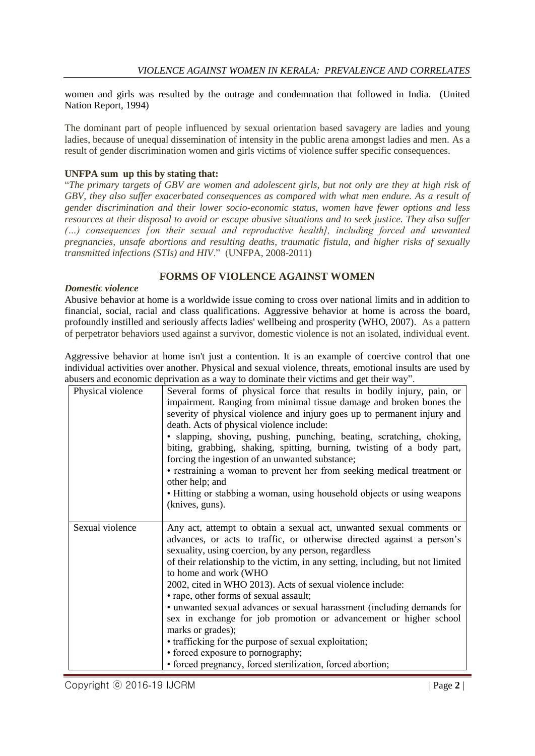women and girls was resulted by the outrage and condemnation that followed in India. (United Nation Report, 1994)

The dominant part of people influenced by sexual orientation based savagery are ladies and young ladies, because of unequal dissemination of intensity in the public arena amongst ladies and men. As a result of gender discrimination women and girls victims of violence suffer specific consequences.

#### **UNFPA sum up this by stating that:**

"*The primary targets of GBV are women and adolescent girls, but not only are they at high risk of GBV, they also suffer exacerbated consequences as compared with what men endure. As a result of gender discrimination and their lower socio-economic status, women have fewer options and less resources at their disposal to avoid or escape abusive situations and to seek justice. They also suffer (…) consequences [on their sexual and reproductive health], including forced and unwanted pregnancies, unsafe abortions and resulting deaths, traumatic fistula, and higher risks of sexually transmitted infections (STIs) and HIV*." (UNFPA, 2008-2011)

#### **FORMS OF VIOLENCE AGAINST WOMEN**

#### *Domestic violence*

Abusive behavior at home is a worldwide issue coming to cross over national limits and in addition to financial, social, racial and class qualifications. Aggressive behavior at home is across the board, profoundly instilled and seriously affects ladies' wellbeing and prosperity (WHO, 2007). As a pattern of perpetrator behaviors used against a survivor, domestic violence is not an isolated, individual event.

Aggressive behavior at home isn't just a contention. It is an example of coercive control that one individual activities over another. Physical and sexual violence, threats, emotional insults are used by abusers and economic deprivation as a way to dominate their victims and get their way".

| Physical violence | Several forms of physical force that results in bodily injury, pain, or<br>impairment. Ranging from minimal tissue damage and broken bones the<br>severity of physical violence and injury goes up to permanent injury and<br>death. Acts of physical violence include:<br>· slapping, shoving, pushing, punching, beating, scratching, choking,<br>biting, grabbing, shaking, spitting, burning, twisting of a body part,<br>forcing the ingestion of an unwanted substance;<br>• restraining a woman to prevent her from seeking medical treatment or<br>other help; and<br>• Hitting or stabbing a woman, using household objects or using weapons<br>(knives, guns).                                                                                   |
|-------------------|------------------------------------------------------------------------------------------------------------------------------------------------------------------------------------------------------------------------------------------------------------------------------------------------------------------------------------------------------------------------------------------------------------------------------------------------------------------------------------------------------------------------------------------------------------------------------------------------------------------------------------------------------------------------------------------------------------------------------------------------------------|
| Sexual violence   | Any act, attempt to obtain a sexual act, unwanted sexual comments or<br>advances, or acts to traffic, or otherwise directed against a person's<br>sexuality, using coercion, by any person, regardless<br>of their relationship to the victim, in any setting, including, but not limited<br>to home and work (WHO<br>2002, cited in WHO 2013). Acts of sexual violence include:<br>• rape, other forms of sexual assault;<br>• unwanted sexual advances or sexual harassment (including demands for<br>sex in exchange for job promotion or advancement or higher school<br>marks or grades);<br>• trafficking for the purpose of sexual exploitation;<br>• forced exposure to pornography;<br>• forced pregnancy, forced sterilization, forced abortion; |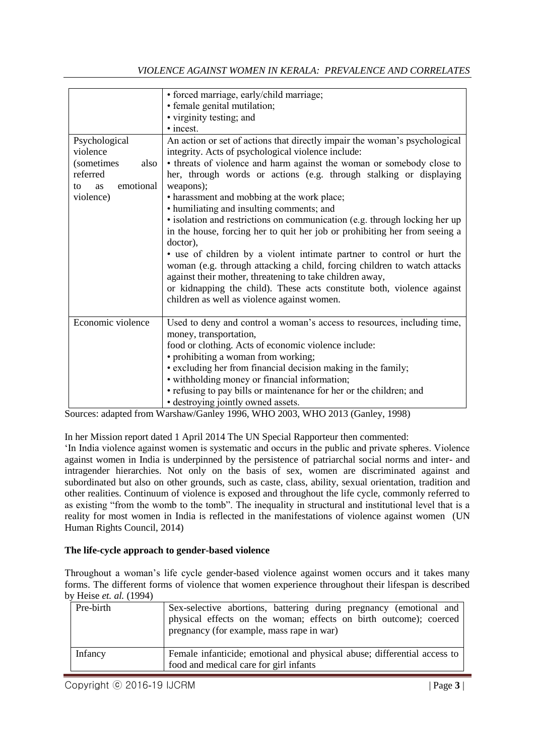|                                                                                                                  | • forced marriage, early/child marriage;                                                                                                                                                                                                                                                                                                                                                                                                                                                                        |
|------------------------------------------------------------------------------------------------------------------|-----------------------------------------------------------------------------------------------------------------------------------------------------------------------------------------------------------------------------------------------------------------------------------------------------------------------------------------------------------------------------------------------------------------------------------------------------------------------------------------------------------------|
|                                                                                                                  | · female genital mutilation;                                                                                                                                                                                                                                                                                                                                                                                                                                                                                    |
|                                                                                                                  | • virginity testing; and                                                                                                                                                                                                                                                                                                                                                                                                                                                                                        |
|                                                                                                                  | • incest.                                                                                                                                                                                                                                                                                                                                                                                                                                                                                                       |
| Psychological<br>violence<br>also<br><i>(sometimes)</i><br>referred<br>emotional<br><b>as</b><br>to<br>violence) | An action or set of actions that directly impair the woman's psychological<br>integrity. Acts of psychological violence include:<br>• threats of violence and harm against the woman or somebody close to<br>her, through words or actions (e.g. through stalking or displaying<br>weapons);<br>• harassment and mobbing at the work place;<br>• humiliating and insulting comments; and                                                                                                                        |
|                                                                                                                  | · isolation and restrictions on communication (e.g. through locking her up<br>in the house, forcing her to quit her job or prohibiting her from seeing a<br>doctor),<br>• use of children by a violent intimate partner to control or hurt the<br>woman (e.g. through attacking a child, forcing children to watch attacks<br>against their mother, threatening to take children away,<br>or kidnapping the child). These acts constitute both, violence against<br>children as well as violence against women. |
| Economic violence                                                                                                | Used to deny and control a woman's access to resources, including time,<br>money, transportation,<br>food or clothing. Acts of economic violence include:<br>• prohibiting a woman from working;<br>• excluding her from financial decision making in the family;<br>· withholding money or financial information;<br>• refusing to pay bills or maintenance for her or the children; and<br>• destroying jointly owned assets.                                                                                 |

Sources: adapted from Warshaw/Ganley 1996, WHO 2003, WHO 2013 (Ganley, 1998)

In her Mission report dated 1 April 2014 The UN Special Rapporteur then commented:

"In India violence against women is systematic and occurs in the public and private spheres. Violence against women in India is underpinned by the persistence of patriarchal social norms and inter- and intragender hierarchies. Not only on the basis of sex, women are discriminated against and subordinated but also on other grounds, such as caste, class, ability, sexual orientation, tradition and other realities. Continuum of violence is exposed and throughout the life cycle, commonly referred to as existing "from the womb to the tomb". The inequality in structural and institutional level that is a reality for most women in India is reflected in the manifestations of violence against women (UN Human Rights Council, 2014)

#### **The life-cycle approach to gender-based violence**

Throughout a woman"s life cycle gender-based violence against women occurs and it takes many forms. The different forms of violence that women experience throughout their lifespan is described by Heise *et. al.* (1994)

| Pre-birth | Sex-selective abortions, battering during pregnancy (emotional and<br>physical effects on the woman; effects on birth outcome); coerced<br>pregnancy (for example, mass rape in war) |
|-----------|--------------------------------------------------------------------------------------------------------------------------------------------------------------------------------------|
| Infancy   | Female infanticide; emotional and physical abuse; differential access to<br>food and medical care for girl infants                                                                   |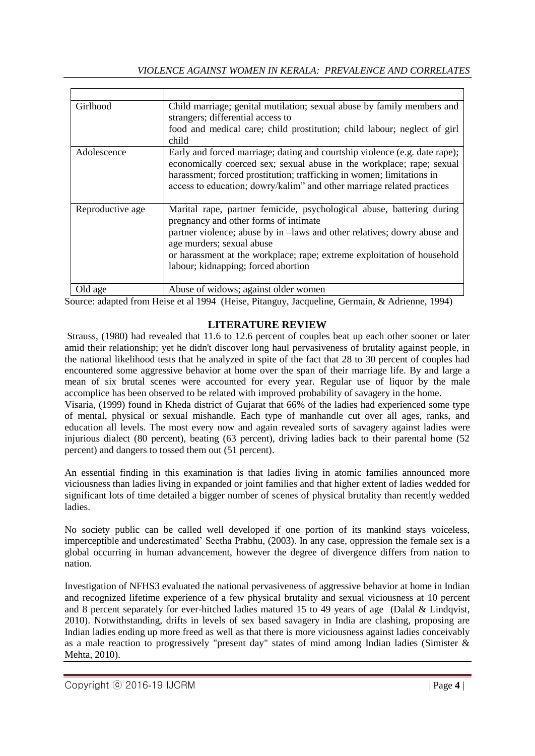| Girlhood         | Child marriage; genital mutilation; sexual abuse by family members and<br>strangers; differential access to<br>food and medical care; child prostitution; child labour; neglect of girl<br>child                                                                                                                                          |
|------------------|-------------------------------------------------------------------------------------------------------------------------------------------------------------------------------------------------------------------------------------------------------------------------------------------------------------------------------------------|
| Adolescence      | Early and forced marriage; dating and courtship violence (e.g. date rape);<br>economically coerced sex; sexual abuse in the workplace; rape; sexual<br>harassment; forced prostitution; trafficking in women; limitations in<br>access to education; dowry/kalim" and other marriage related practices                                    |
| Reproductive age | Marital rape, partner femicide, psychological abuse, battering during<br>pregnancy and other forms of intimate<br>partner violence; abuse by in -laws and other relatives; dowry abuse and<br>age murders; sexual abuse<br>or harassment at the workplace; rape; extreme exploitation of household<br>labour; kidnapping; forced abortion |
| Old age          | Abuse of widows; against older women                                                                                                                                                                                                                                                                                                      |

Source: adapted from Heise et al 1994 (Heise, Pitanguy, Jacqueline, Germain, & Adrienne, 1994)

# **LITERATURE REVIEW**

Strauss, (1980) had revealed that 11.6 to 12.6 percent of couples beat up each other sooner or later amid their relationship; yet he didn't discover long haul pervasiveness of brutality against people, in the national likelihood tests that he analyzed in spite of the fact that 28 to 30 percent of couples had encountered some aggressive behavior at home over the span of their marriage life. By and large a mean of six brutal scenes were accounted for every year. Regular use of liquor by the male accomplice has been observed to be related with improved probability of savagery in the home.

Visaria, (1999) found in Kheda district of Gujarat that 66% of the ladies had experienced some type of mental, physical or sexual mishandle. Each type of manhandle cut over all ages, ranks, and education all levels. The most every now and again revealed sorts of savagery against ladies were injurious dialect (80 percent), beating (63 percent), driving ladies back to their parental home (52 percent) and dangers to tossed them out (51 percent).

An essential finding in this examination is that ladies living in atomic families announced more viciousness than ladies living in expanded or joint families and that higher extent of ladies wedded for significant lots of time detailed a bigger number of scenes of physical brutality than recently wedded ladies.

No society public can be called well developed if one portion of its mankind stays voiceless, imperceptible and underestimated" Seetha Prabhu, (2003). In any case, oppression the female sex is a global occurring in human advancement, however the degree of divergence differs from nation to nation.

Investigation of NFHS3 evaluated the national pervasiveness of aggressive behavior at home in Indian and recognized lifetime experience of a few physical brutality and sexual viciousness at 10 percent and 8 percent separately for ever-hitched ladies matured 15 to 49 years of age (Dalal & Lindqvist, 2010). Notwithstanding, drifts in levels of sex based savagery in India are clashing, proposing are Indian ladies ending up more freed as well as that there is more viciousness against ladies conceivably as a male reaction to progressively "present day" states of mind among Indian ladies (Simister & Mehta, 2010).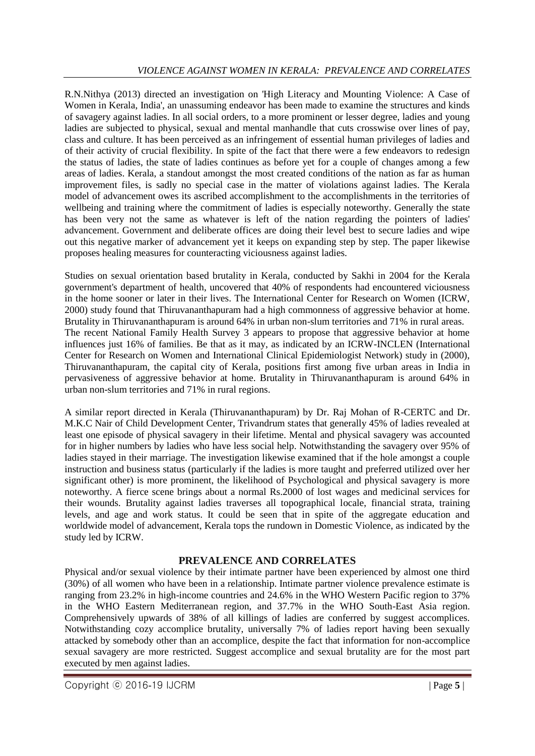R.N.Nithya (2013) directed an investigation on 'High Literacy and Mounting Violence: A Case of Women in Kerala, India', an unassuming endeavor has been made to examine the structures and kinds of savagery against ladies. In all social orders, to a more prominent or lesser degree, ladies and young ladies are subjected to physical, sexual and mental manhandle that cuts crosswise over lines of pay, class and culture. It has been perceived as an infringement of essential human privileges of ladies and of their activity of crucial flexibility. In spite of the fact that there were a few endeavors to redesign the status of ladies, the state of ladies continues as before yet for a couple of changes among a few areas of ladies. Kerala, a standout amongst the most created conditions of the nation as far as human improvement files, is sadly no special case in the matter of violations against ladies. The Kerala model of advancement owes its ascribed accomplishment to the accomplishments in the territories of wellbeing and training where the commitment of ladies is especially noteworthy. Generally the state has been very not the same as whatever is left of the nation regarding the pointers of ladies' advancement. Government and deliberate offices are doing their level best to secure ladies and wipe out this negative marker of advancement yet it keeps on expanding step by step. The paper likewise proposes healing measures for counteracting viciousness against ladies.

Studies on sexual orientation based brutality in Kerala, conducted by Sakhi in 2004 for the Kerala government's department of health, uncovered that 40% of respondents had encountered viciousness in the home sooner or later in their lives. The International Center for Research on Women (ICRW, 2000) study found that Thiruvananthapuram had a high commonness of aggressive behavior at home. Brutality in Thiruvananthapuram is around 64% in urban non-slum territories and 71% in rural areas. The recent National Family Health Survey 3 appears to propose that aggressive behavior at home influences just 16% of families. Be that as it may, as indicated by an ICRW-INCLEN (International Center for Research on Women and International Clinical Epidemiologist Network) study in (2000), Thiruvananthapuram, the capital city of Kerala, positions first among five urban areas in India in pervasiveness of aggressive behavior at home. Brutality in Thiruvananthapuram is around 64% in urban non-slum territories and 71% in rural regions.

A similar report directed in Kerala (Thiruvananthapuram) by Dr. Raj Mohan of R-CERTC and Dr. M.K.C Nair of Child Development Center, Trivandrum states that generally 45% of ladies revealed at least one episode of physical savagery in their lifetime. Mental and physical savagery was accounted for in higher numbers by ladies who have less social help. Notwithstanding the savagery over 95% of ladies stayed in their marriage. The investigation likewise examined that if the hole amongst a couple instruction and business status (particularly if the ladies is more taught and preferred utilized over her significant other) is more prominent, the likelihood of Psychological and physical savagery is more noteworthy. A fierce scene brings about a normal Rs.2000 of lost wages and medicinal services for their wounds. Brutality against ladies traverses all topographical locale, financial strata, training levels, and age and work status. It could be seen that in spite of the aggregate education and worldwide model of advancement, Kerala tops the rundown in Domestic Violence, as indicated by the study led by ICRW.

# **PREVALENCE AND CORRELATES**

Physical and/or sexual violence by their intimate partner have been experienced by almost one third (30%) of all women who have been in a relationship. Intimate partner violence prevalence estimate is ranging from 23.2% in high-income countries and 24.6% in the WHO Western Pacific region to 37% in the WHO Eastern Mediterranean region, and 37.7% in the WHO South-East Asia region. Comprehensively upwards of 38% of all killings of ladies are conferred by suggest accomplices. Notwithstanding cozy accomplice brutality, universally 7% of ladies report having been sexually attacked by somebody other than an accomplice, despite the fact that information for non-accomplice sexual savagery are more restricted. Suggest accomplice and sexual brutality are for the most part executed by men against ladies.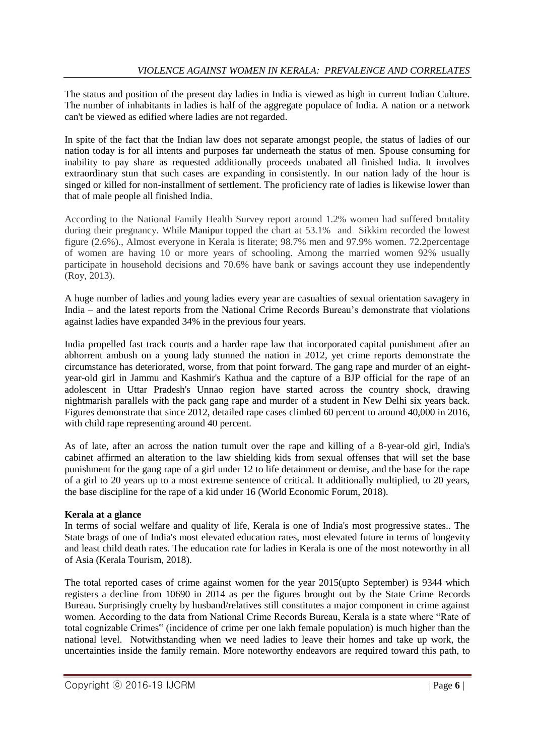The status and position of the present day ladies in India is viewed as high in current Indian Culture. The number of inhabitants in ladies is half of the aggregate populace of India. A nation or a network can't be viewed as edified where ladies are not regarded.

In spite of the fact that the Indian law does not separate amongst people, the status of ladies of our nation today is for all intents and purposes far underneath the status of men. Spouse consuming for inability to pay share as requested additionally proceeds unabated all finished India. It involves extraordinary stun that such cases are expanding in consistently. In our nation lady of the hour is singed or killed for non-installment of settlement. The proficiency rate of ladies is likewise lower than that of male people all finished India.

According to the National Family Health Survey report around 1.2% women had suffered brutality during their pregnancy. While [Manipur](https://timesofindia.indiatimes.com/india/manipur) topped the chart at 53.1% and Sikkim recorded the lowest figure (2.6%)., Almost everyone in Kerala is literate; 98.7% men and 97.9% women. 72.2percentage of women are having 10 or more years of schooling. Among the married women 92% usually participate in household decisions and 70.6% have bank or savings account they use independently (Roy, 2013).

A huge number of ladies and young ladies every year are casualties of sexual orientation savagery in India – and the latest reports from the National Crime Records Bureau"s demonstrate that violations against ladies have expanded 34% in the previous four years.

India propelled fast track courts and a harder rape law that incorporated capital punishment after an abhorrent ambush on a young lady stunned the nation in 2012, yet crime reports demonstrate the circumstance has deteriorated, worse, from that point forward. The gang rape and murder of an eightyear-old girl in Jammu and Kashmir's Kathua and the capture of a BJP official for the rape of an adolescent in Uttar Pradesh's Unnao region have started across the country shock, drawing nightmarish parallels with the pack gang rape and murder of a student in New Delhi six years back. Figures demonstrate that since 2012, detailed rape cases climbed 60 percent to around 40,000 in 2016, with child rape representing around 40 percent.

As of late, after an across the nation tumult over the rape and killing of a 8-year-old girl, India's cabinet affirmed an alteration to the law shielding kids from sexual offenses that will set the base punishment for the gang rape of a girl under 12 to life detainment or demise, and the base for the rape of a girl to 20 years up to a most extreme sentence of critical. It additionally multiplied, to 20 years, the base discipline for the rape of a kid under 16 (World Economic Forum, 2018).

#### **Kerala at a glance**

In terms of social welfare and quality of life, Kerala is one of India's most progressive states.. The State brags of one of India's most elevated education rates, most elevated future in terms of longevity and least child death rates. The education rate for ladies in Kerala is one of the most noteworthy in all of Asia (Kerala Tourism, 2018).

The total reported cases of crime against women for the year 2015(upto September) is 9344 which registers a decline from 10690 in 2014 as per the figures brought out by the State Crime Records Bureau. Surprisingly cruelty by husband/relatives still constitutes a major component in crime against women. According to the data from National Crime Records Bureau, Kerala is a state where "Rate of total cognizable Crimes" (incidence of crime per one lakh female population) is much higher than the national level. Notwithstanding when we need ladies to leave their homes and take up work, the uncertainties inside the family remain. More noteworthy endeavors are required toward this path, to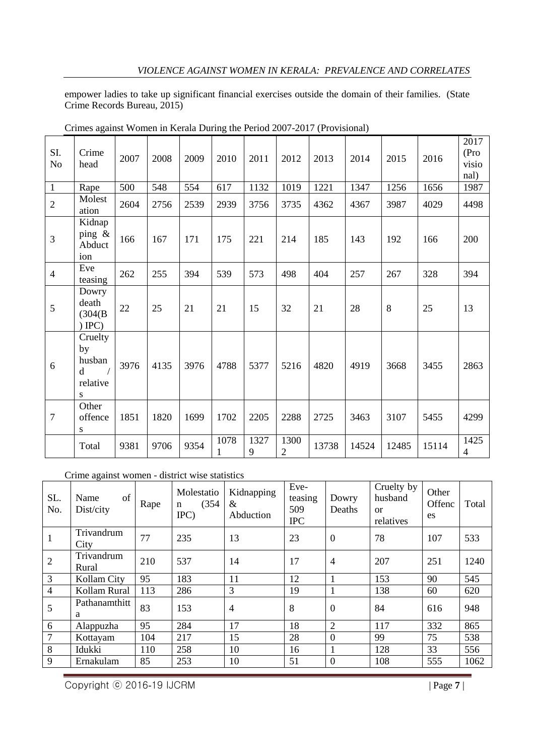empower ladies to take up significant financial exercises outside the domain of their families. (State Crime Records Bureau, 2015)

| SI.<br>N <sub>o</sub> | Crime<br>head                                            | 2007 | 2008 | 2009 | 2010      | 2011      | 2012                   | 2013  | 2014  | 2015  | 2016  | 2017<br>(Pro<br>visio<br>nal) |
|-----------------------|----------------------------------------------------------|------|------|------|-----------|-----------|------------------------|-------|-------|-------|-------|-------------------------------|
| $\mathbf{1}$          | Rape                                                     | 500  | 548  | 554  | 617       | 1132      | 1019                   | 1221  | 1347  | 1256  | 1656  | 1987                          |
| $\overline{2}$        | Molest<br>ation                                          | 2604 | 2756 | 2539 | 2939      | 3756      | 3735                   | 4362  | 4367  | 3987  | 4029  | 4498                          |
| 3                     | Kidnap<br>ping &<br>Abduct<br>ion                        | 166  | 167  | 171  | 175       | 221       | 214                    | 185   | 143   | 192   | 166   | 200                           |
| $\overline{4}$        | Eve<br>teasing                                           | 262  | 255  | 394  | 539       | 573       | 498                    | 404   | 257   | 267   | 328   | 394                           |
| $\overline{5}$        | Dowry<br>death<br>(304(B)<br>$($ IPC $)$                 | 22   | 25   | 21   | 21        | 15        | 32                     | 21    | 28    | 8     | 25    | 13                            |
| 6                     | Cruelty<br>by<br>husban<br><sub>d</sub><br>relative<br>S | 3976 | 4135 | 3976 | 4788      | 5377      | 5216                   | 4820  | 4919  | 3668  | 3455  | 2863                          |
| $\overline{7}$        | Other<br>offence<br>S                                    | 1851 | 1820 | 1699 | 1702      | 2205      | 2288                   | 2725  | 3463  | 3107  | 5455  | 4299                          |
|                       | Total                                                    | 9381 | 9706 | 9354 | 1078<br>1 | 1327<br>9 | 1300<br>$\mathfrak{2}$ | 13738 | 14524 | 12485 | 15114 | 1425<br>$\overline{4}$        |

Crimes against Women in Kerala During the Period 2007-2017 (Provisional)

Crime against women - district wise statistics

| SL.<br>No.     | of<br>Name<br>Dist/city | Rape | Molestatio<br>(354)<br>n<br>IPC) | Kidnapping<br>&<br>Abduction | Eve-<br>teasing<br>509<br><b>IPC</b> | Dowry<br>Deaths  | Cruelty by<br>husband<br><sub>or</sub><br>relatives | Other<br>Offenc<br>es | Total |
|----------------|-------------------------|------|----------------------------------|------------------------------|--------------------------------------|------------------|-----------------------------------------------------|-----------------------|-------|
| $\mathbf{1}$   | Trivandrum<br>City      | 77   | 235                              | 13                           | 23                                   | $\mathbf{0}$     | 78                                                  | 107                   | 533   |
| $\overline{2}$ | Trivandrum<br>Rural     | 210  | 537                              | 14                           | 17                                   | $\overline{4}$   | 207                                                 | 251                   | 1240  |
| 3              | Kollam City             | 95   | 183                              | 11                           | 12                                   | 1                | 153                                                 | 90                    | 545   |
| $\overline{4}$ | Kollam Rural            | 113  | 286                              | 3                            | 19                                   | 1                | 138                                                 | 60                    | 620   |
| 5              | Pathanamthitt<br>a      | 83   | 153                              | $\overline{4}$               | 8                                    | $\mathbf{0}$     | 84                                                  | 616                   | 948   |
| 6              | Alappuzha               | 95   | 284                              | 17                           | 18                                   | $\overline{2}$   | 117                                                 | 332                   | 865   |
| $\overline{7}$ | Kottayam                | 104  | 217                              | 15                           | 28                                   | $\overline{0}$   | 99                                                  | 75                    | 538   |
| 8              | Idukki                  | 110  | 258                              | 10                           | 16                                   | 1                | 128                                                 | 33                    | 556   |
| 9              | Ernakulam               | 85   | 253                              | 10                           | 51                                   | $\boldsymbol{0}$ | 108                                                 | 555                   | 1062  |

Copyright ⓒ 2016-19 IJCRM | Page **7** |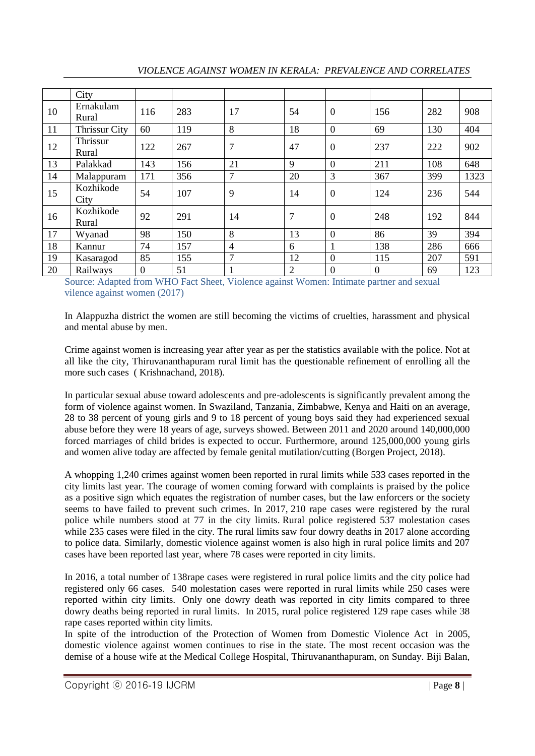|    | City                 |                  |     |                |                |                  |              |     |      |
|----|----------------------|------------------|-----|----------------|----------------|------------------|--------------|-----|------|
| 10 | Ernakulam<br>Rural   | 116              | 283 | 17             | 54             | $\boldsymbol{0}$ | 156          | 282 | 908  |
| 11 | <b>Thrissur City</b> | 60               | 119 | 8              | 18             | $\overline{0}$   | 69           | 130 | 404  |
| 12 | Thrissur<br>Rural    | 122              | 267 | $\overline{7}$ | 47             | $\boldsymbol{0}$ | 237          | 222 | 902  |
| 13 | Palakkad             | 143              | 156 | 21             | 9              | $\overline{0}$   | 211          | 108 | 648  |
| 14 | Malappuram           | 171              | 356 | $\overline{7}$ | 20             | 3                | 367          | 399 | 1323 |
| 15 | Kozhikode<br>City    | 54               | 107 | 9              | 14             | $\boldsymbol{0}$ | 124          | 236 | 544  |
| 16 | Kozhikode<br>Rural   | 92               | 291 | 14             | 7              | $\boldsymbol{0}$ | 248          | 192 | 844  |
| 17 | Wyanad               | 98               | 150 | 8              | 13             | $\overline{0}$   | 86           | 39  | 394  |
| 18 | Kannur               | 74               | 157 | $\overline{4}$ | 6              | $\mathbf{1}$     | 138          | 286 | 666  |
| 19 | Kasaragod            | 85               | 155 | $\mathcal{I}$  | 12             | $\overline{0}$   | 115          | 207 | 591  |
| 20 | Railways             | $\boldsymbol{0}$ | 51  |                | $\overline{2}$ | $\boldsymbol{0}$ | $\mathbf{0}$ | 69  | 123  |

#### *VIOLENCE AGAINST WOMEN IN KERALA: PREVALENCE AND CORRELATES*

Source: Adapted from WHO Fact Sheet, Violence against Women: Intimate partner and sexual vilence against women (2017)

In Alappuzha district the women are still becoming the victims of cruelties, harassment and physical and mental abuse by men.

Crime against women is increasing year after year as per the statistics available with the police. Not at all like the city, Thiruvananthapuram rural limit has the questionable refinement of enrolling all the more such cases ( Krishnachand, 2018).

In particular sexual abuse toward adolescents and pre-adolescents is significantly prevalent among the form of violence against women. In Swaziland, Tanzania, Zimbabwe, Kenya and Haiti on an average, 28 to 38 percent of young girls and 9 to 18 percent of young boys said they had experienced sexual abuse before they were 18 years of age, surveys showed. Between 2011 and 2020 around 140,000,000 forced marriages of child brides is expected to occur. Furthermore, around 125,000,000 young girls and women alive today are affected by female genital mutilation/cutting (Borgen Project, 2018).

A whopping 1,240 crimes against women been reported in rural limits while 533 cases reported in the city limits last year. The courage of women coming forward with complaints is praised by the police as a positive sign which equates the registration of number cases, but the law enforcers or the society seems to have failed to prevent such crimes. In 2017, 210 rape cases were registered by the rural police while numbers stood at 77 in the city limits. Rural police registered 537 molestation cases while 235 cases were filed in the city. The rural limits saw four dowry deaths in 2017 alone according to police data. Similarly, domestic violence against women is also high in rural police limits and 207 cases have been reported last year, where 78 cases were reported in city limits.

In 2016, a total number of 138rape cases were registered in rural police limits and the city police had registered only 66 cases. 540 molestation cases were reported in rural limits while 250 cases were reported within city limits. Only one dowry death was reported in city limits compared to three dowry deaths being reported in rural limits. In 2015, rural police registered 129 rape cases while 38 rape cases reported within city limits.

In spite of the introduction of the Protection of Women from Domestic Violence Act in 2005, domestic violence against women continues to rise in the state. The most recent occasion was the demise of a house wife at the Medical College Hospital, Thiruvananthapuram, on Sunday. Biji Balan,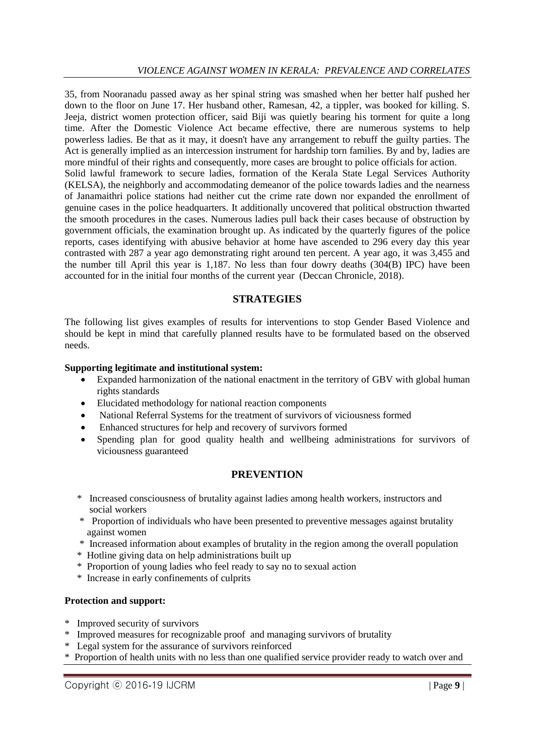35, from Nooranadu passed away as her spinal string was smashed when her better half pushed her down to the floor on June 17. Her husband other, Ramesan, 42, a tippler, was booked for killing. S. Jeeja, district women protection officer, said Biji was quietly bearing his torment for quite a long time. After the Domestic Violence Act became effective, there are numerous systems to help powerless ladies. Be that as it may, it doesn't have any arrangement to rebuff the guilty parties. The Act is generally implied as an intercession instrument for hardship torn families. By and by, ladies are more mindful of their rights and consequently, more cases are brought to police officials for action. Solid lawful framework to secure ladies, formation of the Kerala State Legal Services Authority (KELSA), the neighborly and accommodating demeanor of the police towards ladies and the nearness of Janamaithri police stations had neither cut the crime rate down nor expanded the enrollment of genuine cases in the police headquarters. It additionally uncovered that political obstruction thwarted the smooth procedures in the cases. Numerous ladies pull back their cases because of obstruction by government officials, the examination brought up. As indicated by the quarterly figures of the police reports, cases identifying with abusive behavior at home have ascended to 296 every day this year contrasted with 287 a year ago demonstrating right around ten percent. A year ago, it was 3,455 and the number till April this year is 1,187. No less than four dowry deaths (304(B) IPC) have been accounted for in the initial four months of the current year (Deccan Chronicle, 2018).

## **STRATEGIES**

The following list gives examples of results for interventions to stop Gender Based Violence and should be kept in mind that carefully planned results have to be formulated based on the observed needs.

#### **Supporting legitimate and institutional system:**

- Expanded harmonization of the national enactment in the territory of GBV with global human rights standards
- Elucidated methodology for national reaction components
- National Referral Systems for the treatment of survivors of viciousness formed
- Enhanced structures for help and recovery of survivors formed
- Spending plan for good quality health and wellbeing administrations for survivors of viciousness guaranteed

## **PREVENTION**

- \* Increased consciousness of brutality against ladies among health workers, instructors and social workers
- \* Proportion of individuals who have been presented to preventive messages against brutality against women
- \* Increased information about examples of brutality in the region among the overall population
- \* Hotline giving data on help administrations built up
- \* Proportion of young ladies who feel ready to say no to sexual action
- \* Increase in early confinements of culprits

#### **Protection and support:**

- \* Improved security of survivors
- \* Improved measures for recognizable proof and managing survivors of brutality
- \* Legal system for the assurance of survivors reinforced
- \* Proportion of health units with no less than one qualified service provider ready to watch over and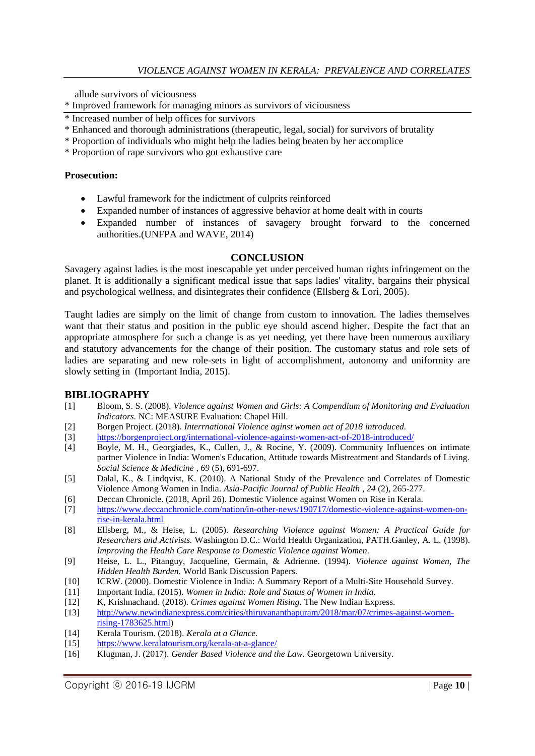allude survivors of viciousness

\* Improved framework for managing minors as survivors of viciousness

\* Increased number of help offices for survivors

- \* Enhanced and thorough administrations (therapeutic, legal, social) for survivors of brutality
- \* Proportion of individuals who might help the ladies being beaten by her accomplice
- \* Proportion of rape survivors who got exhaustive care

#### **Prosecution:**

- Lawful framework for the indictment of culprits reinforced
- Expanded number of instances of aggressive behavior at home dealt with in courts
- Expanded number of instances of savagery brought forward to the concerned authorities.(UNFPA and WAVE, 2014)

#### **CONCLUSION**

Savagery against ladies is the most inescapable yet under perceived human rights infringement on the planet. It is additionally a significant medical issue that saps ladies' vitality, bargains their physical and psychological wellness, and disintegrates their confidence (Ellsberg & Lori, 2005).

Taught ladies are simply on the limit of change from custom to innovation. The ladies themselves want that their status and position in the public eye should ascend higher. Despite the fact that an appropriate atmosphere for such a change is as yet needing, yet there have been numerous auxiliary and statutory advancements for the change of their position. The customary status and role sets of ladies are separating and new role-sets in light of accomplishment, autonomy and uniformity are slowly setting in (Important India, 2015).

#### **BIBLIOGRAPHY**

- [1] Bloom, S. S. (2008). *Violence against Women and Girls: A Compendium of Monitoring and Evaluation Indicators.* NC: MEASURE Evaluation: Chapel Hill.
- [2] Borgen Project. (2018). *Interrnational Violence aginst women act of 2018 introduced.*
- [3] https://borgenproject.org/international-violence-against-women-act-of-2018-introduced/<br>[4] Boyle, M. H., Georgiades, K., Cullen, J., & Rocine, Y. (2009). Community Influence
- [4] Boyle, M. H., Georgiades, K., Cullen, J., & Rocine, Y. (2009). Community Influences on intimate partner Violence in India: Women's Education, Attitude towards Mistreatment and Standards of Living. *Social Science & Medicine , 69* (5), 691-697.
- [5] Dalal, K., & Lindqvist, K. (2010). A National Study of the Prevalence and Correlates of Domestic Violence Among Women in India. *Asia-Pacific Journal of Public Health , 24* (2), 265-277.
- [6] Deccan Chronicle. (2018, April 26). Domestic Violence against Women on Rise in Kerala.
- [7] https://www.deccanchronicle.com/nation/in-other-news/190717/domestic-violence-against-women-onrise-in-kerala.html
- [8] Ellsberg, M., & Heise, L. (2005). *Researching Violence against Women: A Practical Guide for Researchers and Activists.* Washington D.C.: World Health Organization, PATH.Ganley, A. L. (1998). *Improving the Health Care Response to Domestic Violence against Women.*
- [9] Heise, L. L., Pitanguy, Jacqueline, Germain, & Adrienne. (1994). *Violence against Women, The Hidden Health Burden.* World Bank Discussion Papers.
- [10] ICRW. (2000). Domestic Violence in India: A Summary Report of a Multi-Site Household Survey.
- [11] Important India. (2015). *Women in India: Role and Status of Women in India.*
- [12] K, Krishnachand. (2018). *Crimes against Women Rising.* The New Indian Express.
- [13] http://www.newindianexpress.com/cities/thiruvananthapuram/2018/mar/07/crimes-against-womenrising-1783625.html)
- [14] Kerala Tourism. (2018). *Kerala at a Glance.*
- [15] https://www.keralatourism.org/kerala-at-a-glance/
- [16] Klugman, J. (2017). *Gender Based Violence and the Law.* Georgetown University.